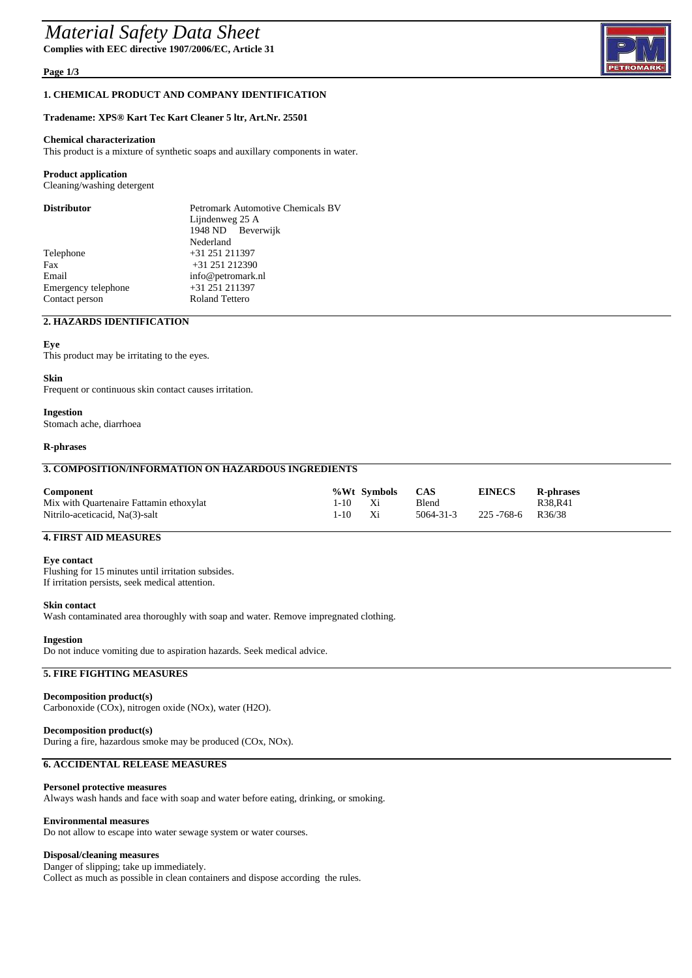## *Material Safety Data Sheet*

**Complies with EEC directive 1907/2006/EC, Article 31**

#### **Page 1/3**

#### **1. CHEMICAL PRODUCT AND COMPANY IDENTIFICATION**

#### **Tradename: XPS® Kart Tec Kart Cleaner 5 ltr, Art.Nr. 25501**

#### **Chemical characterization**

This product is a mixture of synthetic soaps and auxillary components in water.

#### **Product application**

Cleaning/washing detergent

| <b>Distributor</b>  | <b>Petromark Automotive Chemicals BV</b> |  |  |
|---------------------|------------------------------------------|--|--|
|                     | Lijndenweg 25 A                          |  |  |
|                     | 1948 ND Beverwijk                        |  |  |
|                     | Nederland                                |  |  |
| Telephone           | $+31$ 251 211397                         |  |  |
| Fax                 | +31 251 212390                           |  |  |
| Email               | info@petromark.nl                        |  |  |
| Emergency telephone | $+31$ 251 211397                         |  |  |
| Contact person      | <b>Roland Tettero</b>                    |  |  |

## **2. HAZARDS IDENTIFICATION**

#### **Eye**

This product may be irritating to the eyes.

#### **Skin**

Frequent or continuous skin contact causes irritation.

## **Ingestion**

Stomach ache, diarrhoea

#### **R-phrases**

## **3. COMPOSITION/INFORMATION ON HAZARDOUS INGREDIENTS**

| Component                               |      | %Wt Symbols | <b>CAS</b>      | <b>EINECS</b> | <b>R-phrases</b>    |
|-----------------------------------------|------|-------------|-----------------|---------------|---------------------|
| Mix with Quartenaire Fattamin ethoxylat | I-10 | - Xi        | Blend           |               | R38.R41             |
| Nitrilo-aceticacid, Na(3)-salt          | 1-10 | Xi          | $5064 - 31 - 3$ | 225 -768-6    | R <sub>36</sub> /38 |

## **4. FIRST AID MEASURES**

#### **Eye contact**

Flushing for 15 minutes until irritation subsides. If irritation persists, seek medical attention.

#### **Skin contact**

Wash contaminated area thoroughly with soap and water. Remove impregnated clothing.

#### **Ingestion**

Do not induce vomiting due to aspiration hazards. Seek medical advice.

#### **5. FIRE FIGHTING MEASURES**

## **Decomposition product(s)**

Carbonoxide (COx), nitrogen oxide (NOx), water (H2O).

#### **Decomposition product(s)** During a fire, hazardous smoke may be produced (COx, NOx).

#### **6. ACCIDENTAL RELEASE MEASURES**

#### **Personel protective measures**

Always wash hands and face with soap and water before eating, drinking, or smoking.

#### **Environmental measures**

Do not allow to escape into water sewage system or water courses.

#### **Disposal/cleaning measures**

Danger of slipping; take up immediately. Collect as much as possible in clean containers and dispose according the rules.

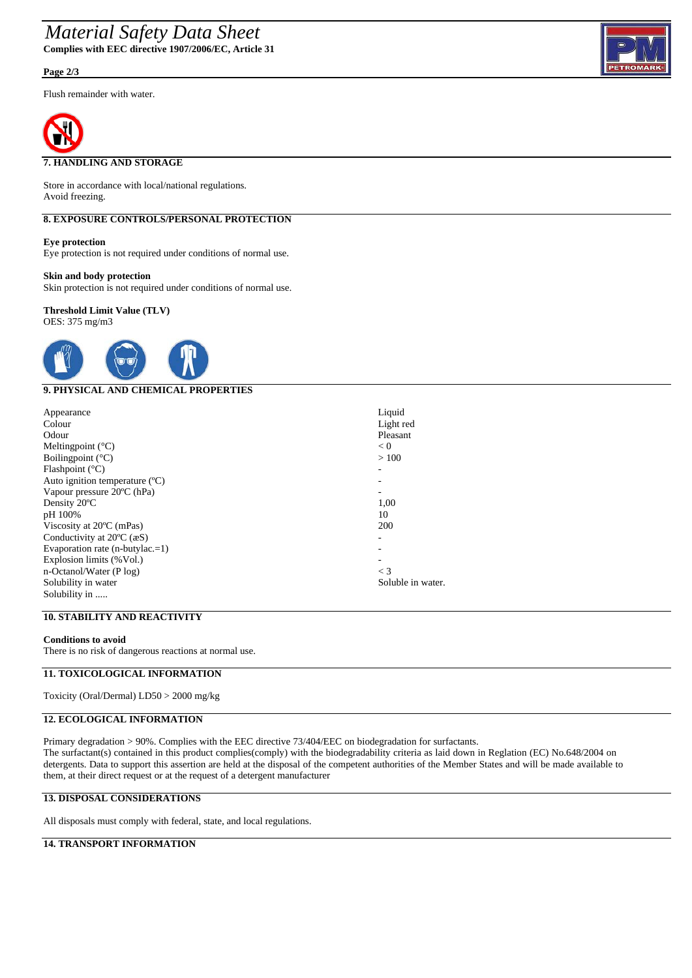## *Material Safety Data Sheet* **Complies with EEC directive 1907/2006/EC, Article 31**

**Page 2/3**

Flush remainder with water.



## **7. HANDLING AND STORAGE**

Store in accordance with local/national regulations. Avoid freezing.

## **8. EXPOSURE CONTROLS/PERSONAL PROTECTION**

**Eye protection**

Eye protection is not required under conditions of normal use.

#### **Skin and body protection**

Skin protection is not required under conditions of normal use.

#### **Threshold Limit Value (TLV)** OES: 375 mg/m3



## **9. PHYSICAL AND CHEMICAL PROPERTIES**

| Appearance                                     | Liquid            |
|------------------------------------------------|-------------------|
| Colour                                         | Light red         |
| Odour                                          | Pleasant          |
| Meltingpoint $(^{\circ}C)$                     | < 0               |
| Boiling point $({}^{\circ}C)$                  | >100              |
| Flashpoint $(^{\circ}C)$                       |                   |
| Auto ignition temperature $(C)$                |                   |
| Vapour pressure 20°C (hPa)                     |                   |
| Density 20°C                                   | 1,00              |
| pH 100%                                        | 10                |
| Viscosity at $20^{\circ}$ C (mPas)             | 200               |
| Conductivity at $20^{\circ}$ C ( $\text{eS}$ ) |                   |
| Evaporation rate $(n$ -butylac.=1)             |                   |
| Explosion limits (%Vol.)                       |                   |
| $n$ -Octanol/Water (P log)                     | $\lt$ 3           |
| Solubility in water                            | Soluble in water. |
| Solubility in                                  |                   |

#### **10. STABILITY AND REACTIVITY**

#### **Conditions to avoid**

There is no risk of dangerous reactions at normal use.

## **11. TOXICOLOGICAL INFORMATION**

Toxicity (Oral/Dermal) LD50 > 2000 mg/kg

## **12. ECOLOGICAL INFORMATION**

Primary degradation > 90%. Complies with the EEC directive 73/404/EEC on biodegradation for surfactants. The surfactant(s) contained in this product complies(comply) with the biodegradability criteria as laid down in Reglation (EC) No.648/2004 on detergents. Data to support this assertion are held at the disposal of the competent authorities of the Member States and will be made available to them, at their direct request or at the request of a detergent manufacturer

## **13. DISPOSAL CONSIDERATIONS**

All disposals must comply with federal, state, and local regulations.

## **14. TRANSPORT INFORMATION**